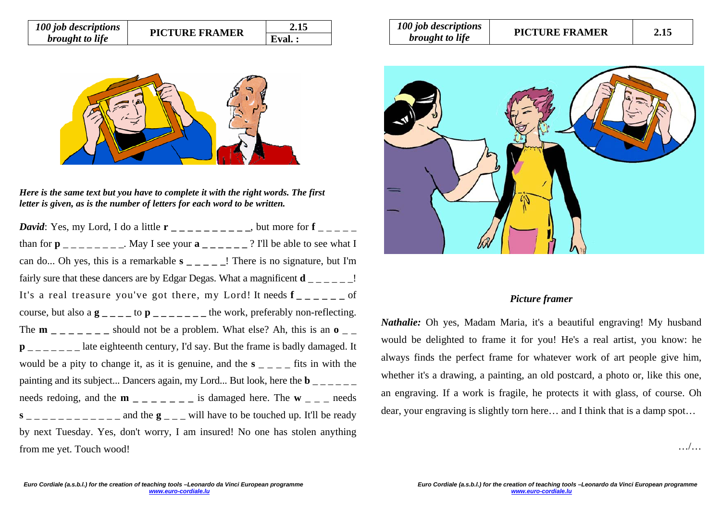| 100 job descriptions   | <b>PICTURE FRAMER</b> | 2.15   |  |
|------------------------|-----------------------|--------|--|
| <i>brought to life</i> |                       | Eval.: |  |



*Here is the same text but you have to complete it with the right words. The first letter is given, as is the number of letters for each word to be written.* 

*David*: Yes, my Lord, I do a little  $\mathbf{r}_{\text{max}} = \frac{1}{\sum_{i=1}^{n} a_i}$ , but more for **f** than for  $p_{\text{max}} = 1$  and  $\alpha$  is see your  $a_{\text{max}} = 2$  in the able to see what I can do... Oh yes, this is a remarkable **s \_ \_ \_ \_ \_**! There is no signature, but I'm fairly sure that these dancers are by Edgar Degas. What a magnificent  $\mathbf{d}$  \_ \_ \_ \_ \_ \_ ! It's a real treasure you've got there, my Lord! It needs **f** of course, but also a  $\mathbf{g}_{\text{max}} = \mathbf{g}_{\text{max}}$  to  $\mathbf{p}_{\text{max}} = \mathbf{g}_{\text{max}}$  and  $\mathbf{g}_{\text{max}}$  are the work, preferably non-reflecting. The  $m_{-}$   $_{-}$   $_{-}$   $_{-}$  should not be a problem. What else? Ah, this is an  $\sigma_{-}$  $\mathbf{p}_{\text{unif}} = \mathbf{p}_{\text{unif}}$  and  $\mathbf{p}_{\text{inif}}$  are eighteenth century, I'd say. But the frame is badly damaged. It would be a pity to change it, as it is genuine, and the  $s_{-}$   $\bar{ }$  =  $\bar{ }$  fits in with the painting and its subject... Dancers again, my Lord... But look, here the  $\mathbf{b}$ needs redoing, and the **m**  $\angle$   $\angle$   $\angle$   $\angle$   $\angle$   $\angle$  is damaged here. The **w**  $\angle$   $\angle$   $\angle$  needs  $s_{\text{2}}$   $\frac{1}{s_{\text{2}}-1}$   $\frac{1}{s_{\text{2}}-1}$  and the  $g_{\text{2}}-1$  will have to be touched up. It'll be ready by next Tuesday. Yes, don't worry, I am insured! No one has stolen anything from me yet. Touch wood!

| 100 job descriptions   | <b>PICTURE FRAMER</b> | 2.15 |
|------------------------|-----------------------|------|
| <i>brought to life</i> |                       |      |



## *Picture framer*

*Nathalie:* Oh yes, Madam Maria, it's a beautiful engraving! My husband would be delighted to frame it for you! He's a real artist, you know: he always finds the perfect frame for whatever work of art people give him, whether it's a drawing, a painting, an old postcard, a photo or, like this one, an engraving. If a work is fragile, he protects it with glass, of course. Oh dear, your engraving is slightly torn here… and I think that is a damp spot…